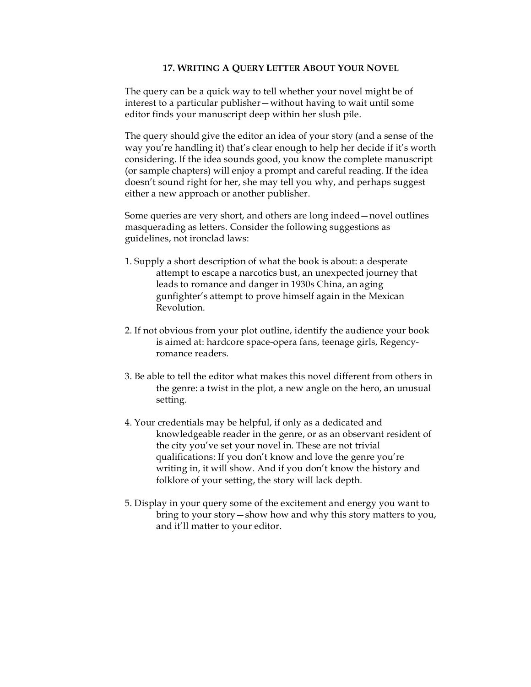## **17. WRITING A QUERY LETTER ABOUT YOUR NOVEL**

The query can be a quick way to tell whether your novel might be of interest to a particular publisher—without having to wait until some editor finds your manuscript deep within her slush pile.

The query should give the editor an idea of your story (and a sense of the way you're handling it) that's clear enough to help her decide if it's worth considering. If the idea sounds good, you know the complete manuscript (or sample chapters) will enjoy a prompt and careful reading. If the idea doesn't sound right for her, she may tell you why, and perhaps suggest either a new approach or another publisher.

Some queries are very short, and others are long indeed—novel outlines masquerading as letters. Consider the following suggestions as guidelines, not ironclad laws:

- 1. Supply a short description of what the book is about: a desperate attempt to escape a narcotics bust, an unexpected journey that leads to romance and danger in 1930s China, an aging gunfighter's attempt to prove himself again in the Mexican Revolution.
- 2. If not obvious from your plot outline, identify the audience your book is aimed at: hardcore space-opera fans, teenage girls, Regencyromance readers.
- 3. Be able to tell the editor what makes this novel different from others in the genre: a twist in the plot, a new angle on the hero, an unusual setting.
- 4. Your credentials may be helpful, if only as a dedicated and knowledgeable reader in the genre, or as an observant resident of the city you've set your novel in. These are not trivial qualifications: If you don't know and love the genre you're writing in, it will show. And if you don't know the history and folklore of your setting, the story will lack depth.
- 5. Display in your query some of the excitement and energy you want to bring to your story—show how and why this story matters to you, and it'll matter to your editor.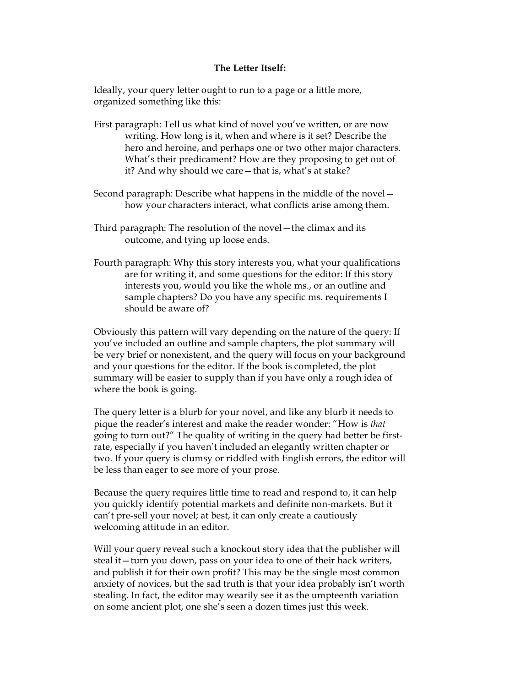## **The Letter Itself:**

Ideally, your query letter ought to run to a page or a little more, organized something like this:

- First paragraph: Tell us what kind of novel you've written, or are now writing. How long is it, when and where is it set? Describe the hero and heroine, and perhaps one or two other major characters. What's their predicament? How are they proposing to get out of it? And why should we care—that is, what's at stake?
- Second paragraph: Describe what happens in the middle of the novel how your characters interact, what conflicts arise among them.
- Third paragraph: The resolution of the novel—the climax and its outcome, and tying up loose ends.
- Fourth paragraph: Why this story interests you, what your qualifications are for writing it, and some questions for the editor: If this story interests you, would you like the whole ms., or an outline and sample chapters? Do you have any specific ms. requirements I should be aware of?

Obviously this pattern will vary depending on the nature of the query: If you've included an outline and sample chapters, the plot summary will be very brief or nonexistent, and the query will focus on your background and your questions for the editor. If the book is completed, the plot summary will be easier to supply than if you have only a rough idea of where the book is going.

The query letter is a blurb for your novel, and like any blurb it needs to pique the reader's interest and make the reader wonder: "How is *that* going to turn out?" The quality of writing in the query had better be firstrate, especially if you haven't included an elegantly written chapter or two. If your query is clumsy or riddled with English errors, the editor will be less than eager to see more of your prose.

Because the query requires little time to read and respond to, it can help you quickly identify potential markets and definite non-markets. But it can't pre-sell your novel; at best, it can only create a cautiously welcoming attitude in an editor.

Will your query reveal such a knockout story idea that the publisher will steal it—turn you down, pass on your idea to one of their hack writers, and publish it for their own profit? This may be the single most common anxiety of novices, but the sad truth is that your idea probably isn't worth stealing. In fact, the editor may wearily see it as the umpteenth variation on some ancient plot, one she's seen a dozen times just this week.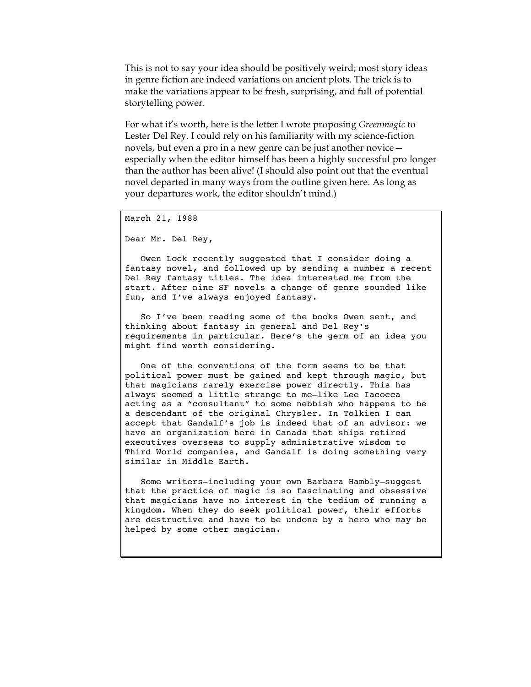This is not to say your idea should be positively weird; most story ideas in genre fiction are indeed variations on ancient plots. The trick is to make the variations appear to be fresh, surprising, and full of potential storytelling power.

For what it's worth, here is the letter I wrote proposing *Greenmagic* to Lester Del Rey. I could rely on his familiarity with my science-fiction novels, but even a pro in a new genre can be just another novice especially when the editor himself has been a highly successful pro longer than the author has been alive! (I should also point out that the eventual novel departed in many ways from the outline given here. As long as your departures work, the editor shouldn't mind.)

March 21, 1988

Dear Mr. Del Rey,

Owen Lock recently suggested that I consider doing a fantasy novel, and followed up by sending a number a recent Del Rey fantasy titles. The idea interested me from the start. After nine SF novels a change of genre sounded like fun, and I've always enjoyed fantasy.

So I've been reading some of the books Owen sent, and thinking about fantasy in general and Del Rey's requirements in particular. Here's the germ of an idea you might find worth considering.

One of the conventions of the form seems to be that political power must be gained and kept through magic, but that magicians rarely exercise power directly. This has always seemed a little strange to me—like Lee Iacocca acting as a "consultant" to some nebbish who happens to be a descendant of the original Chrysler. In Tolkien I can accept that Gandalf's job is indeed that of an advisor: we have an organization here in Canada that ships retired executives overseas to supply administrative wisdom to Third World companies, and Gandalf is doing something very similar in Middle Earth.

Some writers—including your own Barbara Hambly—suggest that the practice of magic is so fascinating and obsessive that magicians have no interest in the tedium of running a kingdom. When they do seek political power, their efforts are destructive and have to be undone by a hero who may be helped by some other magician.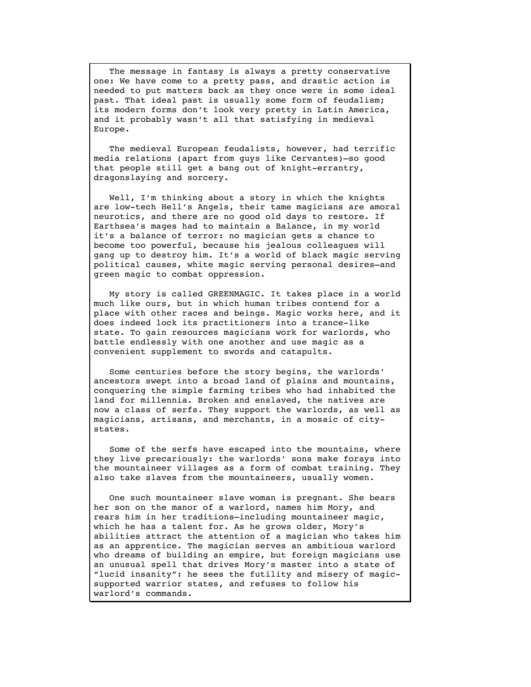The message in fantasy is always a pretty conservative one: We have come to a pretty pass, and drastic action is needed to put matters back as they once were in some ideal past. That ideal past is usually some form of feudalism; its modern forms don't look very pretty in Latin America, and it probably wasn't all that satisfying in medieval Europe.

The medieval European feudalists, however, had terrific media relations (apart from guys like Cervantes)—so good that people still get a bang out of knight-errantry, dragonslaying and sorcery.

Well, I'm thinking about a story in which the knights are low-tech Hell's Angels, their tame magicians are amoral neurotics, and there are no good old days to restore. If Earthsea's mages had to maintain a Balance, in my world it's a balance of terror: no magician gets a chance to become too powerful, because his jealous colleagues will gang up to destroy him. It's a world of black magic serving political causes, white magic serving personal desires—and green magic to combat oppression.

My story is called GREENMAGIC. It takes place in a world much like ours, but in which human tribes contend for a place with other races and beings. Magic works here, and it does indeed lock its practitioners into a trance-like state. To gain resources magicians work for warlords, who battle endlessly with one another and use magic as a convenient supplement to swords and catapults.

Some centuries before the story begins, the warlords' ancestors swept into a broad land of plains and mountains, conquering the simple farming tribes who had inhabited the land for millennia. Broken and enslaved, the natives are now a class of serfs. They support the warlords, as well as magicians, artisans, and merchants, in a mosaic of citystates.

Some of the serfs have escaped into the mountains, where they live precariously: the warlords' sons make forays into the mountaineer villages as a form of combat training. They also take slaves from the mountaineers, usually women.

One such mountaineer slave woman is pregnant. She bears her son on the manor of a warlord, names him Mory, and rears him in her traditions—including mountaineer magic, which he has a talent for. As he grows older, Mory's abilities attract the attention of a magician who takes him as an apprentice. The magician serves an ambitious warlord who dreams of building an empire, but foreign magicians use an unusual spell that drives Mory's master into a state of "lucid insanity": he sees the futility and misery of magicsupported warrior states, and refuses to follow his warlord's commands.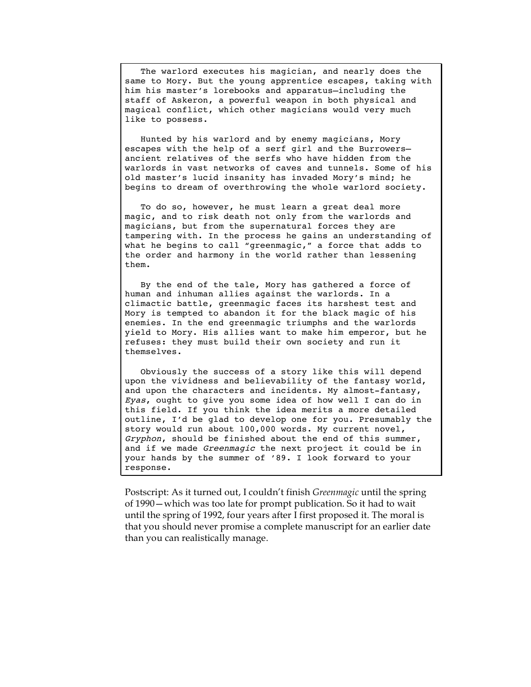The warlord executes his magician, and nearly does the same to Mory. But the young apprentice escapes, taking with him his master's lorebooks and apparatus—including the staff of Askeron, a powerful weapon in both physical and magical conflict, which other magicians would very much like to possess.

Hunted by his warlord and by enemy magicians, Mory escapes with the help of a serf girl and the Burrowers ancient relatives of the serfs who have hidden from the warlords in vast networks of caves and tunnels. Some of his old master's lucid insanity has invaded Mory's mind; he begins to dream of overthrowing the whole warlord society.

To do so, however, he must learn a great deal more magic, and to risk death not only from the warlords and magicians, but from the supernatural forces they are tampering with. In the process he gains an understanding of what he begins to call "greenmagic," a force that adds to the order and harmony in the world rather than lessening them.

By the end of the tale, Mory has gathered a force of human and inhuman allies against the warlords. In a climactic battle, greenmagic faces its harshest test and Mory is tempted to abandon it for the black magic of his enemies. In the end greenmagic triumphs and the warlords yield to Mory. His allies want to make him emperor, but he refuses: they must build their own society and run it themselves.

Obviously the success of a story like this will depend upon the vividness and believability of the fantasy world, and upon the characters and incidents. My almost-fantasy, Eyas, ought to give you some idea of how well I can do in this field. If you think the idea merits a more detailed outline, I'd be glad to develop one for you. Presumably the story would run about 100,000 words. My current novel, Gryphon, should be finished about the end of this summer, and if we made Greenmagic the next project it could be in your hands by the summer of '89. I look forward to your response.

Postscript: As it turned out, I couldn't finish *Greenmagic* until the spring of 1990—which was too late for prompt publication. So it had to wait until the spring of 1992, four years after I first proposed it. The moral is that you should never promise a complete manuscript for an earlier date than you can realistically manage.